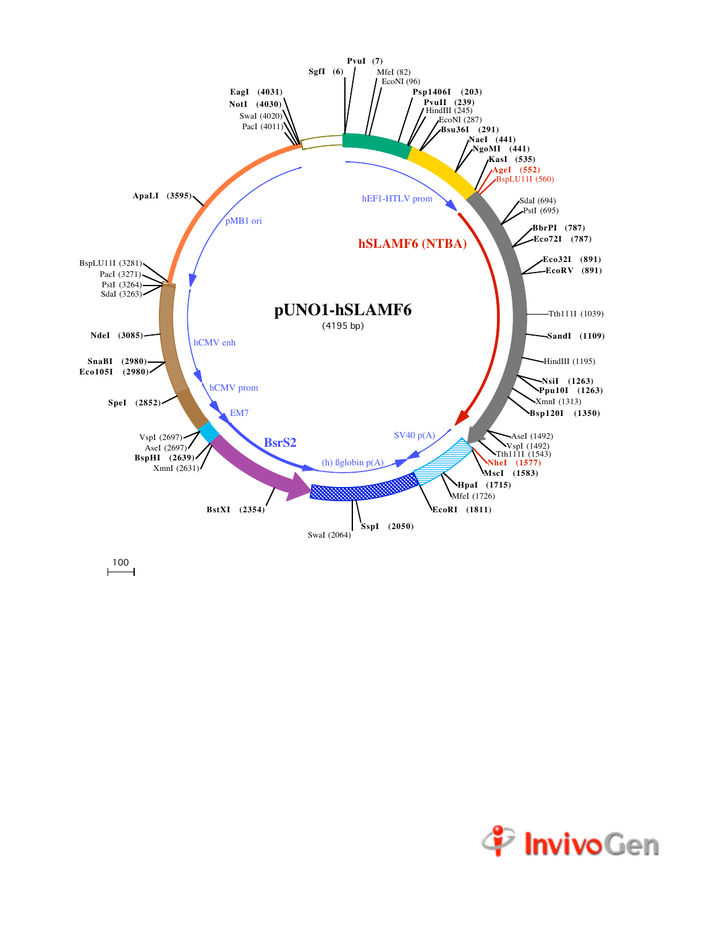

 $\overline{100}$ 

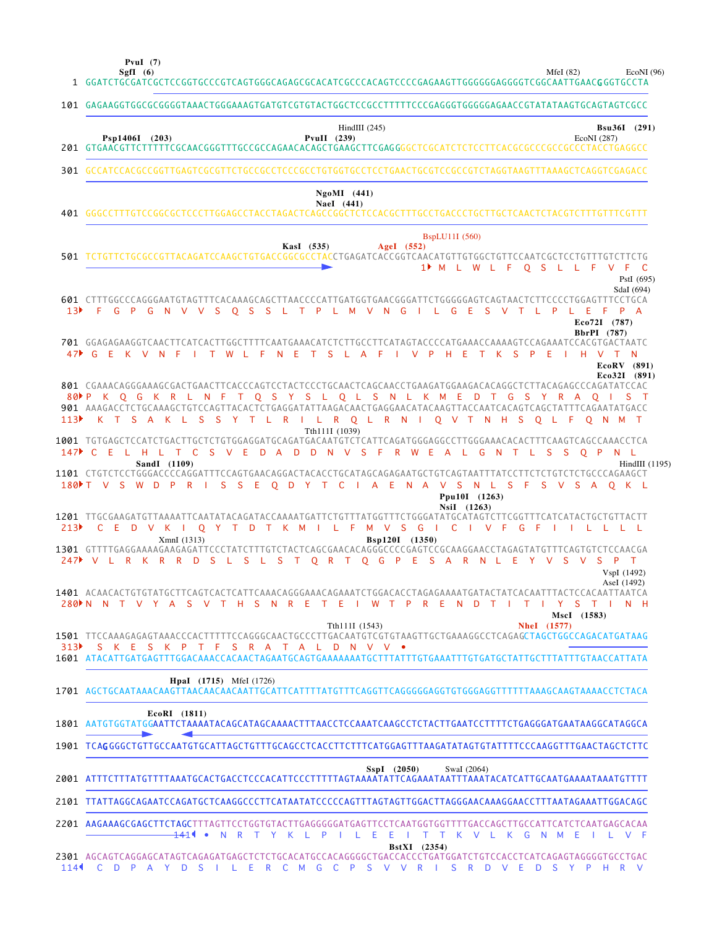**PvuI (7)**

**SgfI (6)** MfeI (82) EcoNI (96)

|                 | 1 GGATCTGCGATCGCTCCGGTGCCCGTCAGTGGGCAGAGCGCACATCGCCCACAGTCCCCGAGAAGTTGGGGGGAGGGTCGGCAATTGAAC <b>G</b> GGTGCCTA                                                                                                                                                                                                                                          |
|-----------------|---------------------------------------------------------------------------------------------------------------------------------------------------------------------------------------------------------------------------------------------------------------------------------------------------------------------------------------------------------|
|                 | 101 GAGAAGGTGGCGCGGGGTAAACTGGGAAAGTGATGTCGTGTACTGGCTCCGCCTTTTTCCCGAGGGTGGGGGAACCGTATATAAGTGCAGTAGTCGCC                                                                                                                                                                                                                                                  |
|                 | HindIII $(245)$<br>Bsu36I (291)<br>Psp1406I (203)<br>$PvuII$ (239)<br>EcoNI (287)                                                                                                                                                                                                                                                                       |
|                 | 301 GCCATCCACGCCGGTTGAGTCGCGTTCTGCCGCCTCCCGCCTGTGGTGCCTCCTGAACTGCGTCCGCCGTCTAGGTAAGTTTAAAGCTCAGGTCGAGACC                                                                                                                                                                                                                                                |
|                 | $NgoMI$ (441)<br>NaeI (441)                                                                                                                                                                                                                                                                                                                             |
|                 | <b>BspLU11I</b> (560)<br>KasI (535)<br>AgeI $(552)$<br>501 TCTGTTCTGCGCCGTTACAGATCCAAGCTGTGACCGGCGCCTACCTGAGATCACCGGTCAACATGTTGTGGCTGTTCCAATCGCTCCTGTTTGTCTTCTG<br>1 M L W L F O S L L F V F C<br>PstI (695)                                                                                                                                            |
| 13 <sup>3</sup> | SdaI (694)<br>601 CTTTGGCCCAGGGAATGTAGTTTCACAAAGCAGCTTAACCCCATTGATGGTGAACGGGATTCTGGGGGAGTCAGTAACTCTTCCCCTGGAGTTTCCTGCA<br>F G P G N V V S Q S S L T P L M V N G I L G E S V T L P<br>L E F P A<br>Eco72I (787)<br>BbrPI (787)                                                                                                                           |
|                 | 701 GGAGAGAAGGTCAACTTCATCACTTGGCTTTTCAATGAAACATCTCTTGCCTTCATAGTACCCCATGAAACCAAAAGTCCAGAAATCCACGTGACTAATC<br>47 CEKVNFITWLFNETSLAFIVPHE<br>T K S P E<br>I H V T<br>EcoRV (891)<br>Eco32I (891)                                                                                                                                                           |
|                 | 801 CGAAACAGGGAAAGCGACTGAACTTCACCCAGTCCTACTCCCTGCAACTCAGCAACCTGAAGATGGAAGACACAGGCTCTTACAGAGCCCAGATATCCAC<br>80 P K Q G K R L N F T Q S Y S L Q L S N L K M E D T G S Y R A Q I S T<br>901 AAAGACCTCTGCAAAGCTGTCCAGTTACACTCTGAGGATATTAAGACAACTGAGGAACATACAAGTTACCAATCACAGTCAGCTATTTCAGAATATGACC<br>113) KT SAKL SSYTL RILRQL RNIQ VT N H SQL F Q N M T   |
|                 | Tth111I (1039)<br>1001 TGTGAGCTCCATCTGACTTGCTCTGTGGAGGATGCAGATGACAATGTCTCATTCAGATGGGAGGCCTTGGGAAACACACTTTCAAGTCAGCCAAACCTCA<br>147 CELHLTCS VEDADD N V S F R W E A L G<br>N<br>L S<br>- S<br>O P N L<br>$\top$                                                                                                                                          |
|                 | SandI (1109)<br>HindIII (1195)<br>1101 CTGTCTCCTGGGACCCCAGGATTTCCAGTGAACAGGACTACACCTGCATAGCAGAGAATGCTGTCAGTAATTTATCCTTCTCTGTCTCTGCCCAGAAGCT<br>180 T V S W D P R I S S E O D Y T C I A E N A V S N L S F S V S A O K L<br>Ppu10I (1263)                                                                                                                 |
| 213             | NsiI (1263)<br>1201 TTGCGAAGATGTTAAAATTCAATATACAGATACCAAAATGATTCTGTTTATGGTTTCTGGGATATGCATAGTCTTCGGTTTCATCATACTGCTGTTACTT<br>C E D V K I O Y T D T K M I L F M V S G I C I V F<br>$G$ $F$<br><b>IIILLLL</b><br>XmnI (1313)<br>Bsp120I (1350)<br>1301 GTTTTGAGGAAAAGAAGAGTTCCCTATCTTTGTCTACTCAGCGAACACAGGGCCCCGAGTCCGCAAGGAACCTAGAGTATGTTTCAGTGTCTCCAACGA |
|                 | 247 V L R K R R D S L S L S T O R T O G P E S A R N L E<br>Y V S V S P T<br>VspI (1492)<br>AseI (1492)                                                                                                                                                                                                                                                  |
|                 | 1401 ACAACACTGTGTATGCTTCAGTCACTCATTCAAACAGGGAAACAGAAATCTGGACACCTAGAGAAAATGATACTATCACAATTTACTCCACAATTAATCA<br>280NN NTVY ASVTHSNRETEI WTPRENDTITIYSTIN H<br>MscI (1583)                                                                                                                                                                                  |
|                 | Tth111I (1543)<br><b>Nhel</b> (1577)<br>313 SKESKPTFSRATALDNVV •                                                                                                                                                                                                                                                                                        |
|                 | 1601 ATACATTGATGAGTTTGGACAAACCACAACTAGAATGCAGTGAAAAAAATGCTTTATTTGTGAAATTTGTGATGCTATTGCTTTATTTGTAACCATTATA<br><b>HpaI</b> (1715) MfeI (1726)                                                                                                                                                                                                             |
|                 |                                                                                                                                                                                                                                                                                                                                                         |
|                 | EcoRI (1811)<br>1801 AATGTGGTATGGAATTCTAAAATACAGCATAGCAAAACTTTAACCTCCAAATCAAGCCTCTACTTGAATCCTTTTCTGAGGGATGAATAAGGCATAGGCA                                                                                                                                                                                                                               |
|                 | 1901 TCAGGGGCTGTTGCCAATGTGCATTAGCTGTTTGCAGCCTCACCTTCTTTCATGGAGTTTAAGATATAGTGTATTTTCCCAAGGTTTGAACTAGCTCTTC                                                                                                                                                                                                                                               |
|                 | SspI (2050)<br>SwaI (2064)                                                                                                                                                                                                                                                                                                                              |
|                 | 2101 TTATTAGGCAGAATCCAGATGCTCAAGGCCCTTCATAATATCCCCCAGTTTAGTAGTTGGACTTAGGGAACAAAGGAACCTTTAATAGAAATTGGACAGC                                                                                                                                                                                                                                               |
|                 | 2201 AAGAAAGCGAGCTTCTAGCTTTAGTTCCTGGTGTACTTGAGGGGGATGAGTTCCTCAATGGTGGTTTTGACCAGCTTGCCATTCATCTCAATGAGCACAA<br>NRTYKLPILEEITTKVLKGNMEILVF<br><del>14</del> 11 •<br><b>BstXI</b> (2354)                                                                                                                                                                    |
| 114             | 2301 AGCAGTCAGGAGCATAGTCAGAGATGAGCTCTCTGCACATGCCACAGGGGCTGACCACCCTGATGGATCTGTCCACCTCATCAGAGTAGGGGTGCCTGAC<br>PSVVRI<br>C D P A Y D S I L E R C M G C<br>S R D V E<br>D S Y P H R V                                                                                                                                                                      |